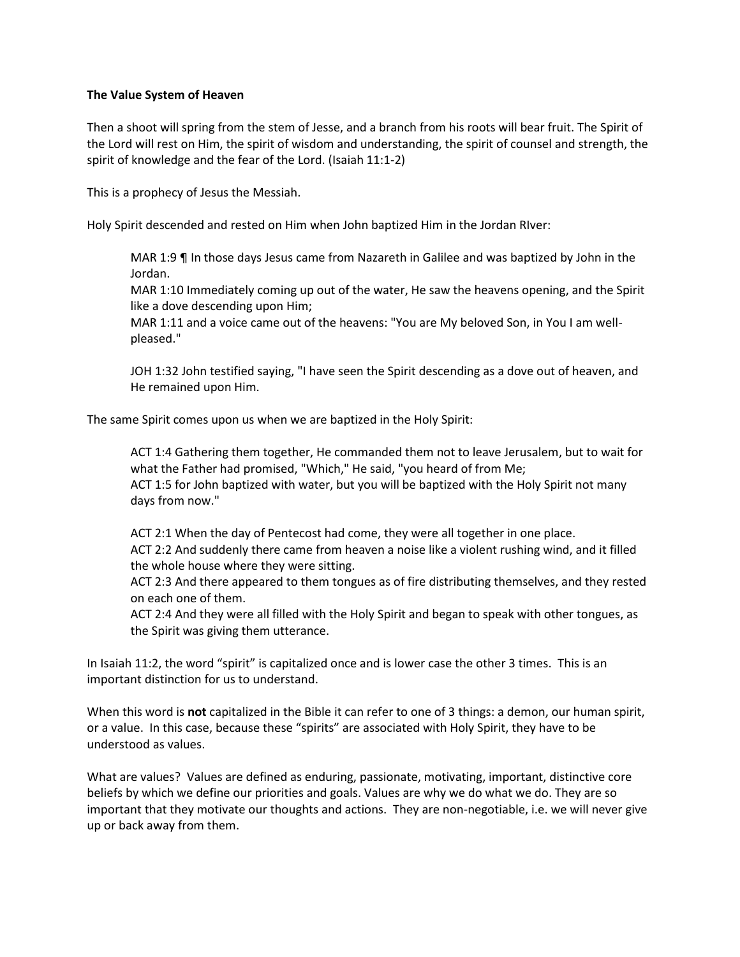## **The Value System of Heaven**

Then a shoot will spring from the stem of Jesse, and a branch from his roots will bear fruit. The Spirit of the Lord will rest on Him, the spirit of wisdom and understanding, the spirit of counsel and strength, the spirit of knowledge and the fear of the Lord. (Isaiah 11:1-2)

This is a prophecy of Jesus the Messiah.

Holy Spirit descended and rested on Him when John baptized Him in the Jordan RIver:

MAR 1:9 ¶ In those days Jesus came from Nazareth in Galilee and was baptized by John in the Jordan.

MAR 1:10 Immediately coming up out of the water, He saw the heavens opening, and the Spirit like a dove descending upon Him;

MAR 1:11 and a voice came out of the heavens: "You are My beloved Son, in You I am wellpleased."

JOH 1:32 John testified saying, "I have seen the Spirit descending as a dove out of heaven, and He remained upon Him.

The same Spirit comes upon us when we are baptized in the Holy Spirit:

ACT 1:4 Gathering them together, He commanded them not to leave Jerusalem, but to wait for what the Father had promised, "Which," He said, "you heard of from Me; ACT 1:5 for John baptized with water, but you will be baptized with the Holy Spirit not many days from now."

ACT 2:1 When the day of Pentecost had come, they were all together in one place. ACT 2:2 And suddenly there came from heaven a noise like a violent rushing wind, and it filled the whole house where they were sitting.

ACT 2:3 And there appeared to them tongues as of fire distributing themselves, and they rested on each one of them.

ACT 2:4 And they were all filled with the Holy Spirit and began to speak with other tongues, as the Spirit was giving them utterance.

In Isaiah 11:2, the word "spirit" is capitalized once and is lower case the other 3 times. This is an important distinction for us to understand.

When this word is **not** capitalized in the Bible it can refer to one of 3 things: a demon, our human spirit, or a value. In this case, because these "spirits" are associated with Holy Spirit, they have to be understood as values.

What are values? Values are defined as enduring, passionate, motivating, important, distinctive core beliefs by which we define our priorities and goals. Values are why we do what we do. They are so important that they motivate our thoughts and actions. They are non-negotiable, i.e. we will never give up or back away from them.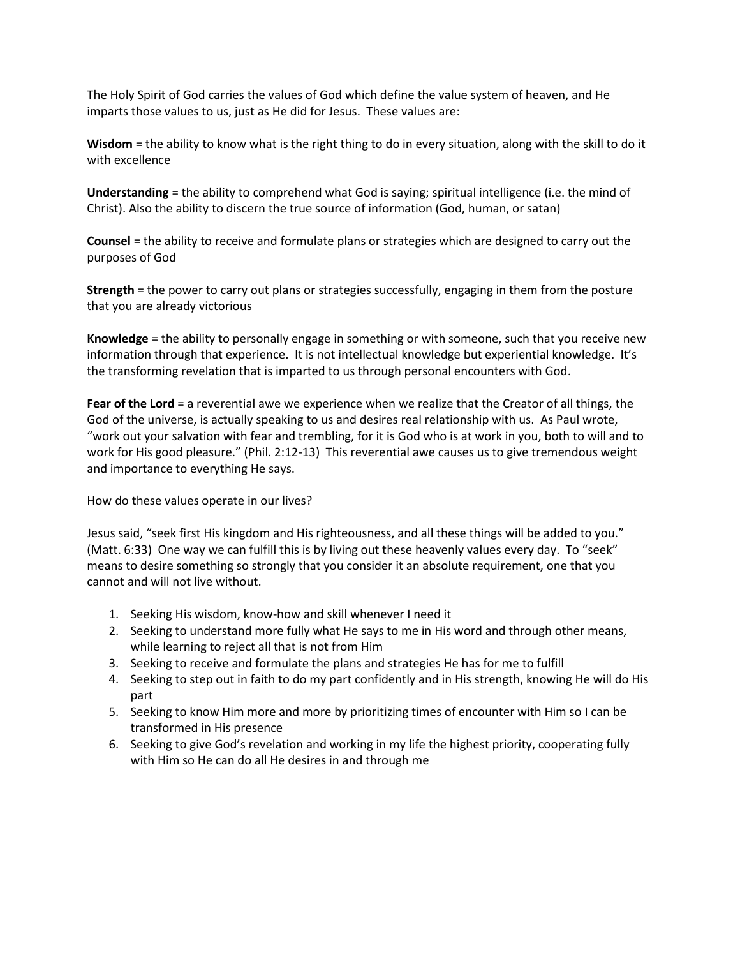The Holy Spirit of God carries the values of God which define the value system of heaven, and He imparts those values to us, just as He did for Jesus. These values are:

**Wisdom** = the ability to know what is the right thing to do in every situation, along with the skill to do it with excellence

**Understanding** = the ability to comprehend what God is saying; spiritual intelligence (i.e. the mind of Christ). Also the ability to discern the true source of information (God, human, or satan)

**Counsel** = the ability to receive and formulate plans or strategies which are designed to carry out the purposes of God

**Strength** = the power to carry out plans or strategies successfully, engaging in them from the posture that you are already victorious

**Knowledge** = the ability to personally engage in something or with someone, such that you receive new information through that experience. It is not intellectual knowledge but experiential knowledge. It's the transforming revelation that is imparted to us through personal encounters with God.

**Fear of the Lord** = a reverential awe we experience when we realize that the Creator of all things, the God of the universe, is actually speaking to us and desires real relationship with us. As Paul wrote, "work out your salvation with fear and trembling, for it is God who is at work in you, both to will and to work for His good pleasure." (Phil. 2:12-13) This reverential awe causes us to give tremendous weight and importance to everything He says.

How do these values operate in our lives?

Jesus said, "seek first His kingdom and His righteousness, and all these things will be added to you." (Matt. 6:33) One way we can fulfill this is by living out these heavenly values every day. To "seek" means to desire something so strongly that you consider it an absolute requirement, one that you cannot and will not live without.

- 1. Seeking His wisdom, know-how and skill whenever I need it
- 2. Seeking to understand more fully what He says to me in His word and through other means, while learning to reject all that is not from Him
- 3. Seeking to receive and formulate the plans and strategies He has for me to fulfill
- 4. Seeking to step out in faith to do my part confidently and in His strength, knowing He will do His part
- 5. Seeking to know Him more and more by prioritizing times of encounter with Him so I can be transformed in His presence
- 6. Seeking to give God's revelation and working in my life the highest priority, cooperating fully with Him so He can do all He desires in and through me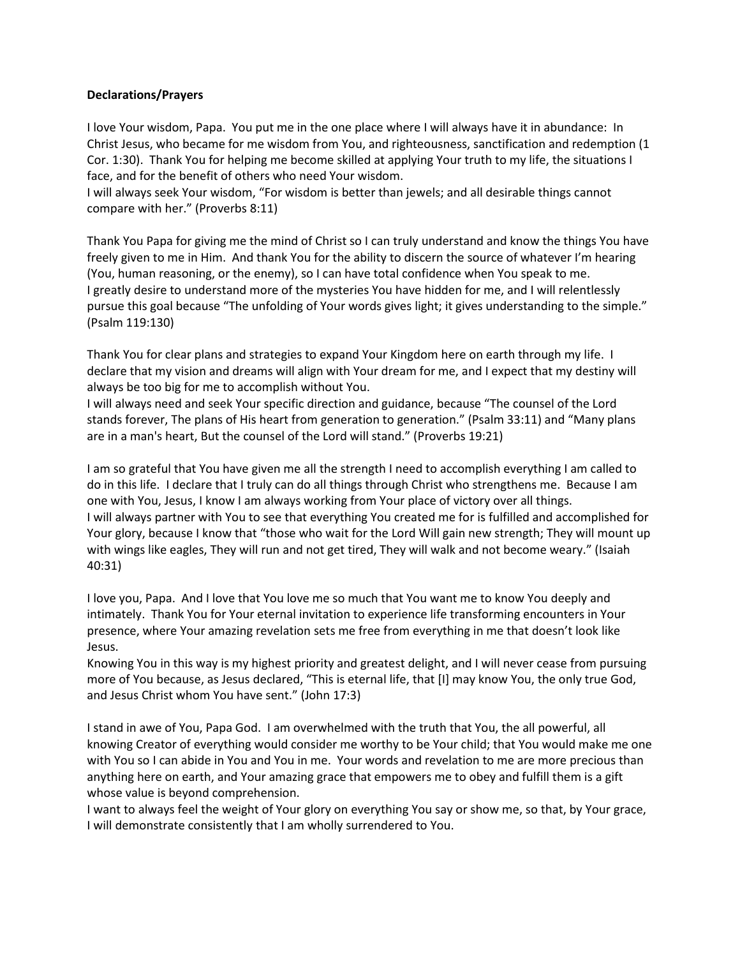## **Declarations/Prayers**

I love Your wisdom, Papa. You put me in the one place where I will always have it in abundance: In Christ Jesus, who became for me wisdom from You, and righteousness, sanctification and redemption (1 Cor. 1:30). Thank You for helping me become skilled at applying Your truth to my life, the situations I face, and for the benefit of others who need Your wisdom.

I will always seek Your wisdom, "For wisdom is better than jewels; and all desirable things cannot compare with her." (Proverbs 8:11)

Thank You Papa for giving me the mind of Christ so I can truly understand and know the things You have freely given to me in Him. And thank You for the ability to discern the source of whatever I'm hearing (You, human reasoning, or the enemy), so I can have total confidence when You speak to me. I greatly desire to understand more of the mysteries You have hidden for me, and I will relentlessly pursue this goal because "The unfolding of Your words gives light; it gives understanding to the simple." (Psalm 119:130)

Thank You for clear plans and strategies to expand Your Kingdom here on earth through my life. I declare that my vision and dreams will align with Your dream for me, and I expect that my destiny will always be too big for me to accomplish without You.

I will always need and seek Your specific direction and guidance, because "The counsel of the Lord stands forever, The plans of His heart from generation to generation." (Psalm 33:11) and "Many plans are in a man's heart, But the counsel of the Lord will stand." (Proverbs 19:21)

I am so grateful that You have given me all the strength I need to accomplish everything I am called to do in this life. I declare that I truly can do all things through Christ who strengthens me. Because I am one with You, Jesus, I know I am always working from Your place of victory over all things. I will always partner with You to see that everything You created me for is fulfilled and accomplished for Your glory, because I know that "those who wait for the Lord Will gain new strength; They will mount up with wings like eagles, They will run and not get tired, They will walk and not become weary." (Isaiah 40:31)

I love you, Papa. And I love that You love me so much that You want me to know You deeply and intimately. Thank You for Your eternal invitation to experience life transforming encounters in Your presence, where Your amazing revelation sets me free from everything in me that doesn't look like Jesus.

Knowing You in this way is my highest priority and greatest delight, and I will never cease from pursuing more of You because, as Jesus declared, "This is eternal life, that [I] may know You, the only true God, and Jesus Christ whom You have sent." (John 17:3)

I stand in awe of You, Papa God. I am overwhelmed with the truth that You, the all powerful, all knowing Creator of everything would consider me worthy to be Your child; that You would make me one with You so I can abide in You and You in me. Your words and revelation to me are more precious than anything here on earth, and Your amazing grace that empowers me to obey and fulfill them is a gift whose value is beyond comprehension.

I want to always feel the weight of Your glory on everything You say or show me, so that, by Your grace, I will demonstrate consistently that I am wholly surrendered to You.